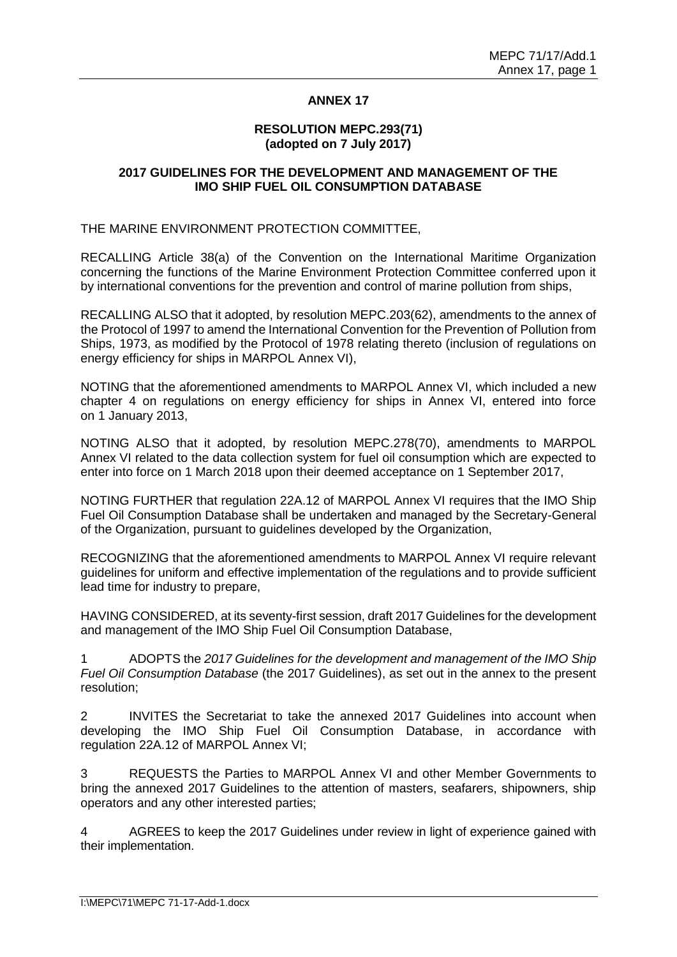# **ANNEX 17**

#### **RESOLUTION MEPC.293(71) (adopted on 7 July 2017)**

#### **2017 GUIDELINES FOR THE DEVELOPMENT AND MANAGEMENT OF THE IMO SHIP FUEL OIL CONSUMPTION DATABASE**

THE MARINE ENVIRONMENT PROTECTION COMMITTEE,

RECALLING Article 38(a) of the Convention on the International Maritime Organization concerning the functions of the Marine Environment Protection Committee conferred upon it by international conventions for the prevention and control of marine pollution from ships,

RECALLING ALSO that it adopted, by resolution MEPC.203(62), amendments to the annex of the Protocol of 1997 to amend the International Convention for the Prevention of Pollution from Ships, 1973, as modified by the Protocol of 1978 relating thereto (inclusion of regulations on energy efficiency for ships in MARPOL Annex VI),

NOTING that the aforementioned amendments to MARPOL Annex VI, which included a new chapter 4 on regulations on energy efficiency for ships in Annex VI, entered into force on 1 January 2013,

NOTING ALSO that it adopted, by resolution MEPC.278(70), amendments to MARPOL Annex VI related to the data collection system for fuel oil consumption which are expected to enter into force on 1 March 2018 upon their deemed acceptance on 1 September 2017,

NOTING FURTHER that regulation 22A.12 of MARPOL Annex VI requires that the IMO Ship Fuel Oil Consumption Database shall be undertaken and managed by the Secretary-General of the Organization, pursuant to guidelines developed by the Organization,

RECOGNIZING that the aforementioned amendments to MARPOL Annex VI require relevant guidelines for uniform and effective implementation of the regulations and to provide sufficient lead time for industry to prepare,

HAVING CONSIDERED, at its seventy-first session, draft 2017 Guidelines for the development and management of the IMO Ship Fuel Oil Consumption Database,

1 ADOPTS the *2017 Guidelines for the development and management of the IMO Ship Fuel Oil Consumption Database* (the 2017 Guidelines), as set out in the annex to the present resolution;

2 INVITES the Secretariat to take the annexed 2017 Guidelines into account when developing the IMO Ship Fuel Oil Consumption Database, in accordance with regulation 22A.12 of MARPOL Annex VI;

3 REQUESTS the Parties to MARPOL Annex VI and other Member Governments to bring the annexed 2017 Guidelines to the attention of masters, seafarers, shipowners, ship operators and any other interested parties;

4 AGREES to keep the 2017 Guidelines under review in light of experience gained with their implementation.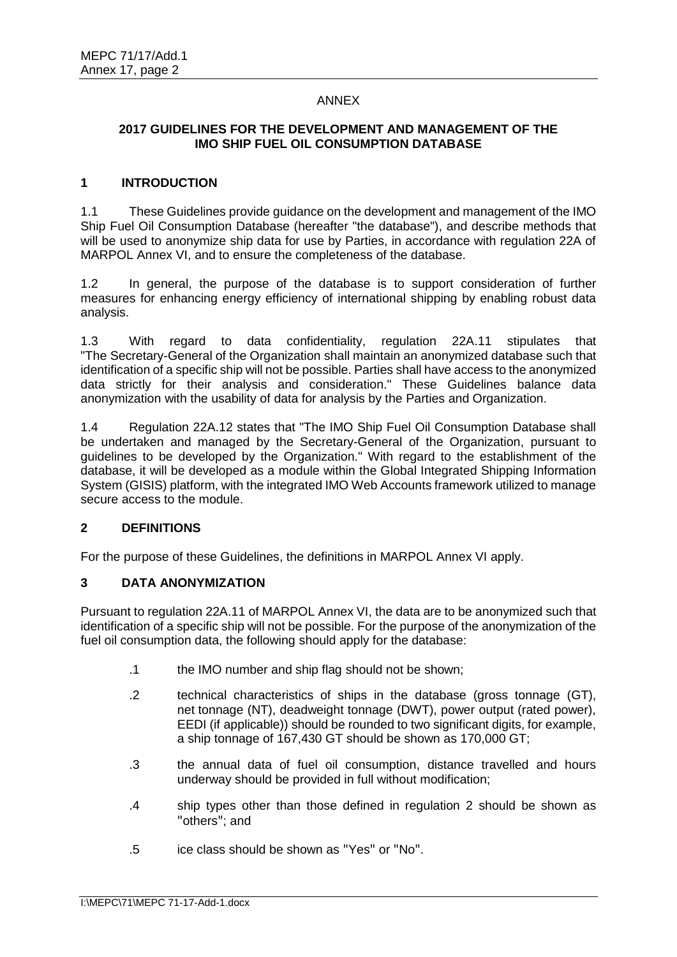#### ANNEX

# **2017 GUIDELINES FOR THE DEVELOPMENT AND MANAGEMENT OF THE IMO SHIP FUEL OIL CONSUMPTION DATABASE**

#### **1 INTRODUCTION**

1.1 These Guidelines provide guidance on the development and management of the IMO Ship Fuel Oil Consumption Database (hereafter "the database"), and describe methods that will be used to anonymize ship data for use by Parties, in accordance with regulation 22A of MARPOL Annex VI, and to ensure the completeness of the database.

1.2 In general, the purpose of the database is to support consideration of further measures for enhancing energy efficiency of international shipping by enabling robust data analysis.

1.3 With regard to data confidentiality, regulation 22A.11 stipulates that "The Secretary-General of the Organization shall maintain an anonymized database such that identification of a specific ship will not be possible. Parties shall have access to the anonymized data strictly for their analysis and consideration." These Guidelines balance data anonymization with the usability of data for analysis by the Parties and Organization.

1.4 Regulation 22A.12 states that "The IMO Ship Fuel Oil Consumption Database shall be undertaken and managed by the Secretary-General of the Organization, pursuant to guidelines to be developed by the Organization." With regard to the establishment of the database, it will be developed as a module within the Global Integrated Shipping Information System (GISIS) platform, with the integrated IMO Web Accounts framework utilized to manage secure access to the module.

# **2 DEFINITIONS**

For the purpose of these Guidelines, the definitions in MARPOL Annex VI apply.

# **3 DATA ANONYMIZATION**

Pursuant to regulation 22A.11 of MARPOL Annex VI, the data are to be anonymized such that identification of a specific ship will not be possible. For the purpose of the anonymization of the fuel oil consumption data, the following should apply for the database:

- .1 the IMO number and ship flag should not be shown;
- .2 technical characteristics of ships in the database (gross tonnage (GT), net tonnage (NT), deadweight tonnage (DWT), power output (rated power), EEDI (if applicable)) should be rounded to two significant digits, for example, a ship tonnage of 167,430 GT should be shown as 170,000 GT;
- .3 the annual data of fuel oil consumption, distance travelled and hours underway should be provided in full without modification;
- .4 ship types other than those defined in regulation 2 should be shown as "others"; and
- .5 ice class should be shown as "Yes" or "No".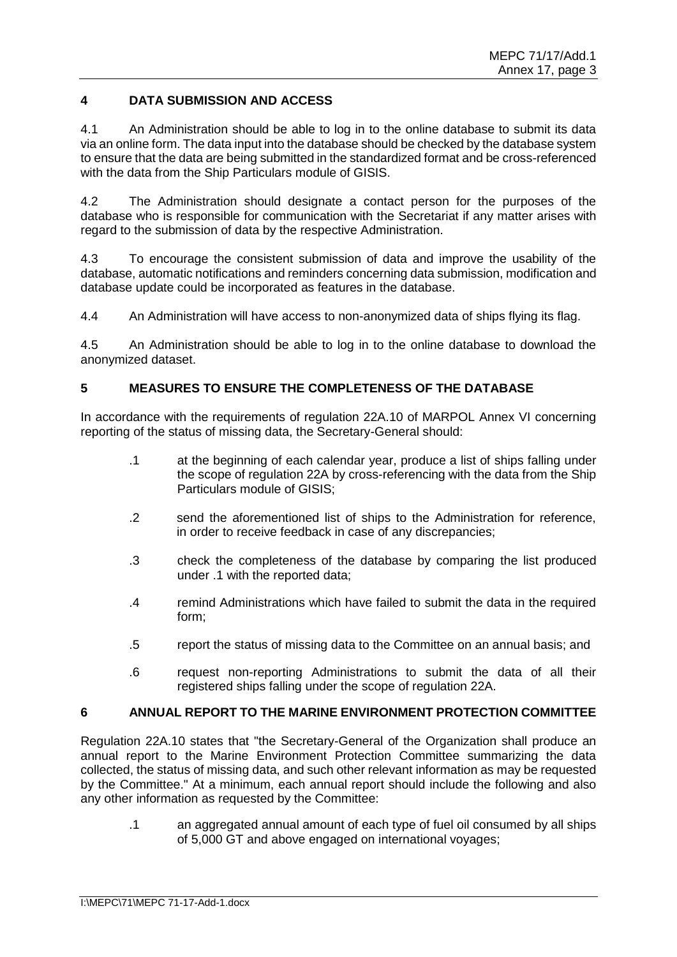# **4 DATA SUBMISSION AND ACCESS**

4.1 An Administration should be able to log in to the online database to submit its data via an online form. The data input into the database should be checked by the database system to ensure that the data are being submitted in the standardized format and be cross-referenced with the data from the Ship Particulars module of GISIS.

4.2 The Administration should designate a contact person for the purposes of the database who is responsible for communication with the Secretariat if any matter arises with regard to the submission of data by the respective Administration.

4.3 To encourage the consistent submission of data and improve the usability of the database, automatic notifications and reminders concerning data submission, modification and database update could be incorporated as features in the database.

4.4 An Administration will have access to non-anonymized data of ships flying its flag.

4.5 An Administration should be able to log in to the online database to download the anonymized dataset.

# **5 MEASURES TO ENSURE THE COMPLETENESS OF THE DATABASE**

In accordance with the requirements of regulation 22A.10 of MARPOL Annex VI concerning reporting of the status of missing data, the Secretary-General should:

- .1 at the beginning of each calendar year, produce a list of ships falling under the scope of regulation 22A by cross-referencing with the data from the Ship Particulars module of GISIS;
- .2 send the aforementioned list of ships to the Administration for reference, in order to receive feedback in case of any discrepancies;
- .3 check the completeness of the database by comparing the list produced under .1 with the reported data;
- .4 remind Administrations which have failed to submit the data in the required form;
- .5 report the status of missing data to the Committee on an annual basis; and
- .6 request non-reporting Administrations to submit the data of all their registered ships falling under the scope of regulation 22A.

# **6 ANNUAL REPORT TO THE MARINE ENVIRONMENT PROTECTION COMMITTEE**

Regulation 22A.10 states that "the Secretary-General of the Organization shall produce an annual report to the Marine Environment Protection Committee summarizing the data collected, the status of missing data, and such other relevant information as may be requested by the Committee." At a minimum, each annual report should include the following and also any other information as requested by the Committee:

.1 an aggregated annual amount of each type of fuel oil consumed by all ships of 5,000 GT and above engaged on international voyages;